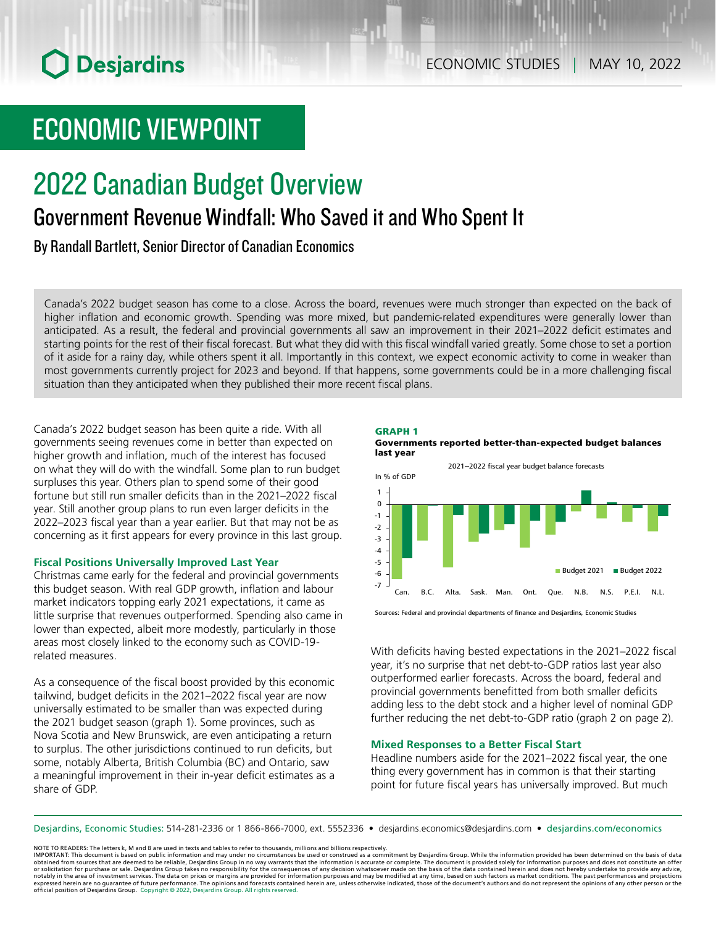# **O** Desjardins

# ECONOMIC VIEWPOINT

# 2022 Canadian Budget Overview Government Revenue Windfall: Who Saved it and Who Spent It

By Randall Bartlett, Senior Director of Canadian Economics

Canada's 2022 budget season has come to a close. Across the board, revenues were much stronger than expected on the back of higher inflation and economic growth. Spending was more mixed, but pandemic-related expenditures were generally lower than anticipated. As a result, the federal and provincial governments all saw an improvement in their 2021–2022 deficit estimates and starting points for the rest of their fiscal forecast. But what they did with this fiscal windfall varied greatly. Some chose to set a portion of it aside for a rainy day, while others spent it all. Importantly in this context, we expect economic activity to come in weaker than most governments currently project for 2023 and beyond. If that happens, some governments could be in a more challenging fiscal situation than they anticipated when they published their more recent fiscal plans.

Canada's 2022 budget season has been quite a ride. With all governments seeing revenues come in better than expected on higher growth and inflation, much of the interest has focused on what they will do with the windfall. Some plan to run budget surpluses this year. Others plan to spend some of their good fortune but still run smaller deficits than in the 2021–2022 fiscal year. Still another group plans to run even larger deficits in the 2022–2023 fiscal year than a year earlier. But that may not be as concerning as it first appears for every province in this last group.

### **Fiscal Positions Universally Improved Last Year**

Christmas came early for the federal and provincial governments this budget season. With real GDP growth, inflation and labour market indicators topping early 2021 expectations, it came as little surprise that revenues outperformed. Spending also came in lower than expected, albeit more modestly, particularly in those areas most closely linked to the economy such as COVID‑19related measures.

As a consequence of the fiscal boost provided by this economic tailwind, budget deficits in the 2021–2022 fiscal year are now universally estimated to be smaller than was expected during the 2021 budget season (graph 1). Some provinces, such as Nova Scotia and New Brunswick, are even anticipating a return to surplus. The other jurisdictions continued to run deficits, but some, notably Alberta, British Columbia (BC) and Ontario, saw a meaningful improvement in their in-year deficit estimates as a share of GDP.





With deficits having bested expectations in the 2021–2022 fiscal year, it's no surprise that net debt-to-GDP ratios last year also outperformed earlier forecasts. Across the board, federal and provincial governments benefitted from both smaller deficits adding less to the debt stock and a higher level of nominal GDP further reducing the net debt-to-GDP ratio (graph 2 on page 2).

### **Mixed Responses to a Better Fiscal Start**

Headline numbers aside for the 2021–2022 fiscal year, the one thing every government has in common is that their starting point for future fiscal years has universally improved. But much

Desjardins, Economic Studies: 514‑281‑2336 or 1 866‑866‑7000, ext. 5552336 • desjardins.economics@desjardins.com • [desjardins.com/economics](http://desjardins.com/economics)

NOTE TO READERS: The letters k, M and B are used in texts and tables to refer to thousands, millions and billions respectively.<br>IMPORTANT: This document is based on public information and may under no circumstances be used obtained from sources that are deemed to be reliable, Desjardins Group in no way warrants that the information is accurate or complete. The document is provided solely for information purposes and does not constitute an of expressed herein are no guarantee of future performance. The opinions and forecasts contained herein are, unless otherwise indicated, those of the document's authors and do not represent the opinions of any other person or official position of Desjardins Group. Copyright © 2022, Desjardins Group. All rights reserved.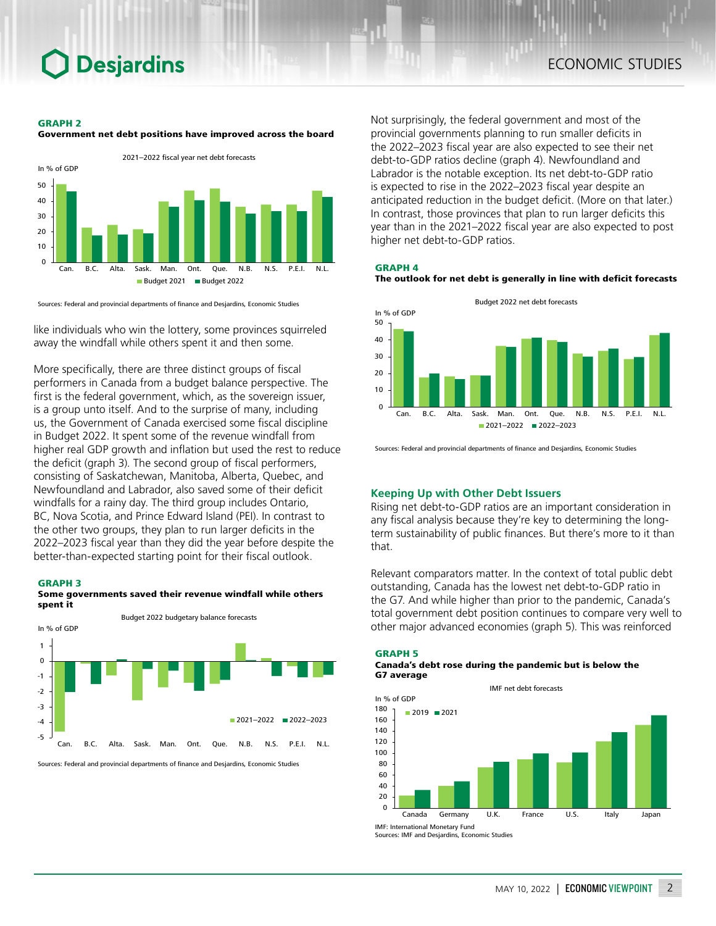# **Desjardins**

#### GRAPH 2





Sources: Federal and provincial departments of finance and Desjardins, Economic Studies

like individuals who win the lottery, some provinces squirreled away the windfall while others spent it and then some.

More specifically, there are three distinct groups of fiscal performers in Canada from a budget balance perspective. The first is the federal government, which, as the sovereign issuer, is a group unto itself. And to the surprise of many, including us, the Government of Canada exercised some fiscal discipline in Budget 2022. It spent some of the revenue windfall from higher real GDP growth and inflation but used the rest to reduce the deficit (graph 3). The second group of fiscal performers, consisting of Saskatchewan, Manitoba, Alberta, Quebec, and Newfoundland and Labrador, also saved some of their deficit windfalls for a rainy day. The third group includes Ontario, BC, Nova Scotia, and Prince Edward Island (PEI). In contrast to the other two groups, they plan to run larger deficits in the 2022–2023 fiscal year than they did the year before despite the better-than-expected starting point for their fiscal outlook.

#### GRAPH 3





Sources: Federal and provincial departments of finance and Desjardins, Economic Studies

Not surprisingly, the federal government and most of the provincial governments planning to run smaller deficits in the 2022–2023 fiscal year are also expected to see their net debt-to-GDP ratios decline (graph 4). Newfoundland and Labrador is the notable exception. Its net debt-to-GDP ratio is expected to rise in the 2022–2023 fiscal year despite an anticipated reduction in the budget deficit. (More on that later.) In contrast, those provinces that plan to run larger deficits this year than in the 2021–2022 fiscal year are also expected to post higher net debt-to-GDP ratios.

#### GRAPH 4

The outlook for net debt is generally in line with deficit forecasts



Sources: Federal and provincial departments of finance and Desjardins, Economic Studies

### **Keeping Up with Other Debt Issuers**

Rising net debt-to-GDP ratios are an important consideration in any fiscal analysis because they're key to determining the longterm sustainability of public finances. But there's more to it than that.

Relevant comparators matter. In the context of total public debt outstanding, Canada has the lowest net debt-to-GDP ratio in the G7. And while higher than prior to the pandemic, Canada's total government debt position continues to compare very well to other major advanced economies (graph 5). This was reinforced





Sources: IMF and Desjardins, Economic Studies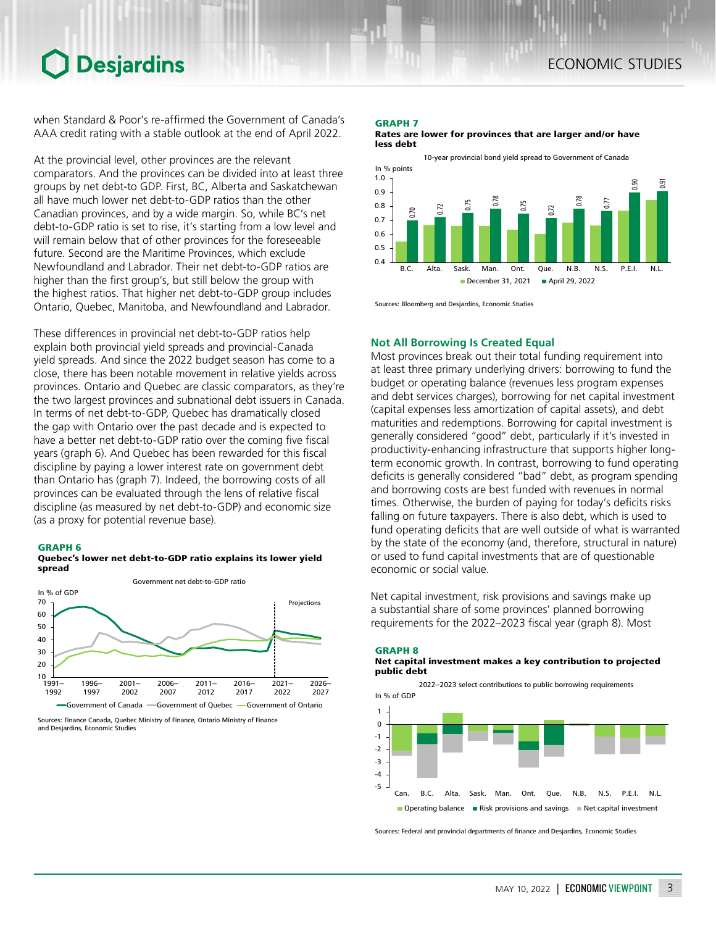### **Desjardins**

when Standard & Poor's re-affirmed the Government of Canada's AAA credit rating with a stable outlook at the end of April 2022.

At the provincial level, other provinces are the relevant comparators. And the provinces can be divided into at least three groups by net debt-to GDP. First, BC, Alberta and Saskatchewan all have much lower net debt-to-GDP ratios than the other Canadian provinces, and by a wide margin. So, while BC's net debt-to-GDP ratio is set to rise, it's starting from a low level and will remain below that of other provinces for the foreseeable future. Second are the Maritime Provinces, which exclude Newfoundland and Labrador. Their net debt-to-GDP ratios are higher than the first group's, but still below the group with the highest ratios. That higher net debt-to-GDP group includes Ontario, Quebec, Manitoba, and Newfoundland and Labrador.

These differences in provincial net debt-to-GDP ratios help explain both provincial yield spreads and provincial-Canada yield spreads. And since the 2022 budget season has come to a close, there has been notable movement in relative yields across provinces. Ontario and Quebec are classic comparators, as they're the two largest provinces and subnational debt issuers in Canada. In terms of net debt-to-GDP, Quebec has dramatically closed the gap with Ontario over the past decade and is expected to have a better net debt-to-GDP ratio over the coming five fiscal years (graph 6). And Quebec has been rewarded for this fiscal discipline by paying a lower interest rate on government debt than Ontario has (graph 7). Indeed, the borrowing costs of all provinces can be evaluated through the lens of relative fiscal discipline (as measured by net debt-to-GDP) and economic size (as a proxy for potential revenue base).

### GRAPH 6





Sources: Finance Canada, Quebec Ministry of Finance, Ontario Ministry of Finance and Desjardins, Economic Studies

### GRAPH 7

Rates are lower for provinces that are larger and/or have less debt



Sources: Bloomberg and Desjardins, Economic Studies

### **Not All Borrowing Is Created Equal**

Most provinces break out their total funding requirement into at least three primary underlying drivers: borrowing to fund the budget or operating balance (revenues less program expenses and debt services charges), borrowing for net capital investment (capital expenses less amortization of capital assets), and debt maturities and redemptions. Borrowing for capital investment is generally considered "good" debt, particularly if it's invested in productivity-enhancing infrastructure that supports higher longterm economic growth. In contrast, borrowing to fund operating deficits is generally considered "bad" debt, as program spending and borrowing costs are best funded with revenues in normal times. Otherwise, the burden of paying for today's deficits risks falling on future taxpayers. There is also debt, which is used to fund operating deficits that are well outside of what is warranted by the state of the economy (and, therefore, structural in nature) or used to fund capital investments that are of questionable economic or social value.

Net capital investment, risk provisions and savings make up a substantial share of some provinces' planned borrowing requirements for the 2022–2023 fiscal year (graph 8). Most



Sources: Federal and provincial departments of finance and Desjardins, Economic Studies